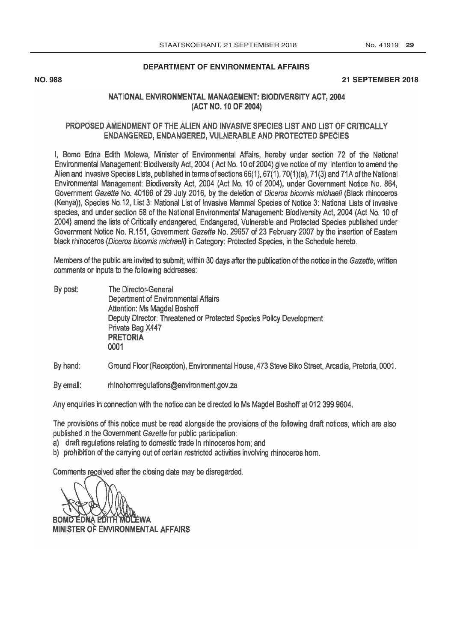### **[DEPARTMENT OF ENVIRONMENTAL AFFAIRS](http://www.greengazette.co.za/departments/envonmental)**

## **NO. 988 21 SEPTEMBER 2018**

# NATIONAL ENVIRONMENTAL MANAGEMENT: BIODIVERSITY ACT, 2004 (ACT NO. 10 OF 2004)

### PROPOSED AMENDMENT OF THE ALIEN AND INVASIVE SPECIES LIST AND LIST OF CRITICALLY ENDANGERED, ENDANGERED, VULNERABLE AND PROTECTED SPECIES

I, Bomo Edna Edith Molewa, Minister of Environmental Affairs, hereby under section 72 of the National Environmental Management: Biodiversity Act, 2004 ( Act No. 10 of 2004) give notice of my intention to amend the Alien and Invasive Species Lists, published in terms of sections 66(1), 67(1), 70(1)(a), 71(3) and 71A of the National Environmental Management: Biodiversity Act, 2004 (Act No. 10 of 2004), under Government Notice No. 864, [Government Gazette](http://www.greengazette.co.za/government-gazette) No. 40166 of 29 July 2016, by the deletion of Diceros bicomis michaeli (Black rhinoceros (Kenya)), Species No.12, List 3: National List of Invasive Mammal Species of Notice 3: National Lists of invasive species, and under section 58 of the National Environmental Management: Biodiversity Act, 2004 (Act No. 10 of 2004) amend the lists of Critically endangered, Endangered, Vulnerable and Protected Species published under Government Notice No. R.151, [Government Gazette](http://www.greengazette.co.za/government-gazette) No. 29657 of 23 February 2007 by the insertion of Eastern black rhinoceros (Diceros bicomis michaeli) in Category: Protected Species, in the Schedule hereto.

Members of the public are invited to submit, within 30 days after the publication of the notice in the Gazette, written comments or inputs to the following addresses:

By post: The Director-General [Department of Environmental Affairs](http://www.greengazette.co.za/departments/envonmental) Attention: Ms Magdel Boshoff Deputy Director: Threatened or Protected Species Policy Development Private Bag X447 PRETORIA 0001

By hand: Ground Floor (Reception), Environmental House, 473 Steve Biko Street, Arcadia, Pretoria, 0001.

By email: rhinohornregulations@environment.gov.za

Any enquiries in connection with the notice can be directed to Ms Magdel Boshoff at 012 399 9604.

The provisions of this notice must be read alongside the provisions of the following draft notices, which are also published in the [Government Gazette](http://www.greengazette.co.za/government-gazette) for public participation:

- a) draft regulations relating to domestic trade in rhinoceros horn; and
- b) prohibition of the carrying out of certain restricted activities involving rhinoceros horn.

Comments received after the closing date may be disregarded.

BOMO EDNA EDITH MOLEWA

MINISTER OF ENVIRONMENTAL AFFAIRS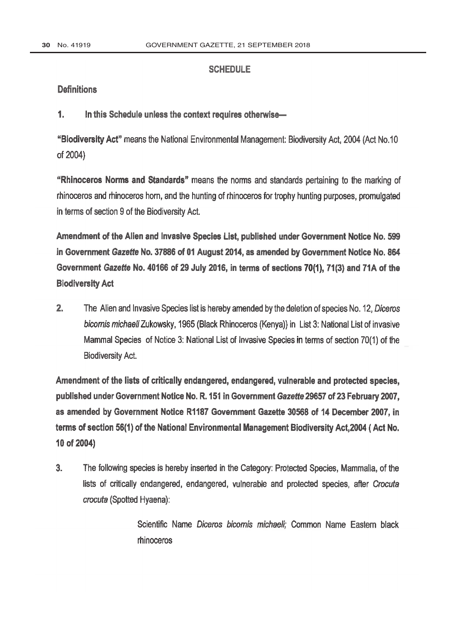## **SCHEDULE**

## **Definitions**

 $\mathbf{1}$ . In this Schedule unless the context requires otherwise-

"Biodiversity Act" means the National Environmental Management: Biodiversity Act, 2004 (Act No.10 of 2004)

"Rhinoceros Norms and Standards" means the norms and standards pertaining to the marking of rhinoceros and rhinoceros horn, and the hunting of rhinoceros for trophy hunting purposes, promulgated in terms of section 9 of the Biodiversity Act.

Amendment of the Alien and Invasive Species List, published under Government Notice No. 599 in [Government Gazette](http://www.greengazette.co.za/government-gazette) No. 37886 of 01 August 2014, as amended by Government Notice No. 864 Government Gazette No. 40166 of 29 July 2016, in terms of sections 70(1), 71(3) and 71A of the **Biodiversity Act** 

 $2.$ The Alien and Invasive Species list is hereby amended by the deletion of species No. 12, Diceros bicornis michaeli Zukowsky, 1965 (Black Rhinoceros (Kenya)) in List 3: National List of invasive Mammal Species of Notice 3: National List of Invasive Species in terms of section 70(1) of the **Biodiversity Act.** 

Amendment of the lists of critically endangered, endangered, vulnerable and protected species, published under Government Notice No. R. 151 in Government Gazette 29657 of 23 February 2007, as amended by Government Notice R1187 Government Gazette 30568 of 14 December 2007, in terms of section 56(1) of the National Environmental Management Biodiversity Act, 2004 (Act No. 10 of 2004)

 $3<sub>1</sub>$ The following species is hereby inserted in the Category: Protected Species, Mammalia, of the lists of critically endangered, endangered, vulnerable and protected species, after Crocuta crocuta (Spotted Hyaena):

> Scientific Name Diceros bicornis michaeli; Common Name Eastern black rhinoceros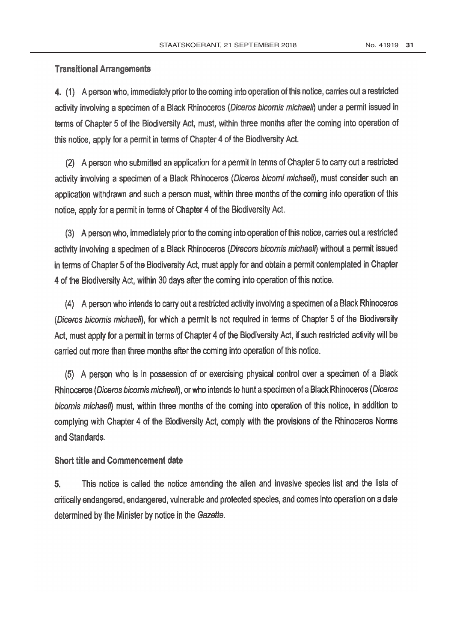# **Transitional Arrangements**

4. (1) A person who, immediately prior to the coming into operation of this notice, carries out a restricted activity involving a specimen of a Black Rhinoceros (Diceros bicornis michaeli) under a permit issued in terms of Chapter 5 of the Biodiversity Act, must, within three months after the coming into operation of this notice, apply for a permit in terms of Chapter 4 of the Biodiversity Act.

(2) A person who submitted an application for a permit in terms of Chapter 5 to carry out a restricted activity involving a specimen of a Black Rhinoceros (Diceros bicorni michaeli), must consider such an application withdrawn and such a person must, within three months of the coming into operation of this notice, apply for a permit in terms of Chapter 4 of the Biodiversity Act.

(3) A person who, immediately prior to the coming into operation of this notice, carries out a restricted activity involving a specimen of a Black Rhinoceros (Direcors bicornis michaeli) without a permit issued in terms of Chapter 5 of the Biodiversity Act, must apply for and obtain a permit contemplated in Chapter 4 of the Biodiversity Act, within 30 days after the coming into operation of this notice.

(4) A person who intends to carry out a restricted activity involving a specimen of a Black Rhinoceros (Diceros bicornis michaeli), for which a permit is not required in terms of Chapter 5 of the Biodiversity Act, must apply for a permit in terms of Chapter 4 of the Biodiversity Act, if such restricted activity will be carried out more than three months after the coming into operation of this notice.

(5) A person who is in possession of or exercising physical control over a specimen of a Black Rhinoceros (Diceros bicornis michaeli), or who intends to hunt a specimen of a Black Rhinoceros (Diceros bicornis michaeli) must, within three months of the coming into operation of this notice, in addition to complying with Chapter 4 of the Biodiversity Act, comply with the provisions of the Rhinoceros Norms and Standards.

# **Short title and Commencement date**

5. This notice is called the notice amending the alien and invasive species list and the lists of critically endangered, endangered, vulnerable and protected species, and comes into operation on a date determined by the Minister by notice in the Gazette.